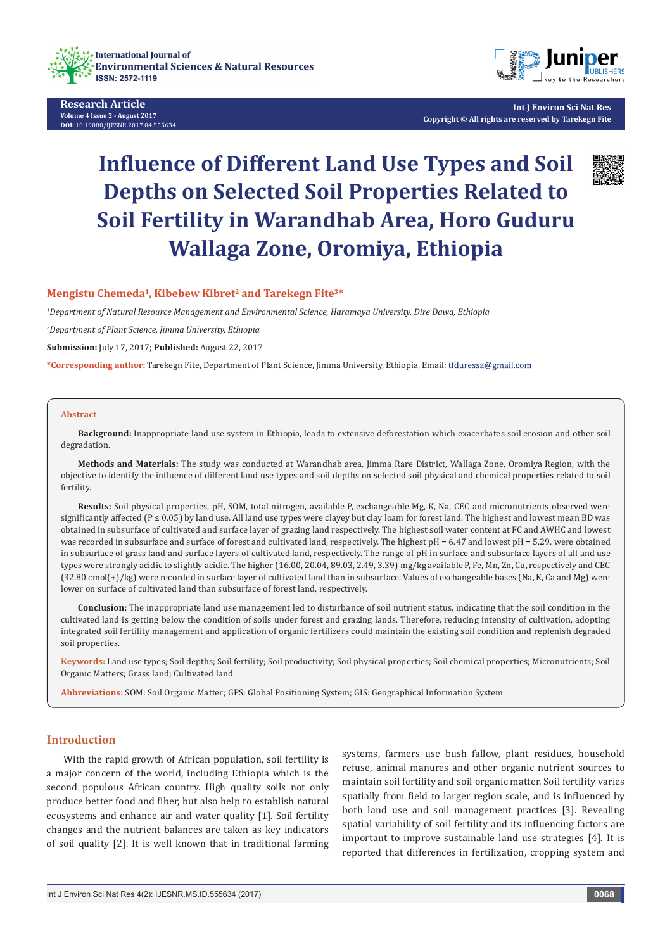



**Int J Environ Sci Nat Res Copyright © All rights are reserved by Tarekegn Fite**

# **Influence of Different Land Use Types and Soil Depths on Selected Soil Properties Related to Soil Fertility in Warandhab Area, Horo Guduru Wallaga Zone, Oromiya, Ethiopia**



# **Mengistu Chemeda1, Kibebew Kibret2 and Tarekegn Fite3\***

*1 Department of Natural Resource Management and Environmental Science, Haramaya University, Dire Dawa, Ethiopia*

*2 Department of Plant Science, Jimma University, Ethiopia*

**Submission:** July 17, 2017; **Published:** August 22, 2017

**\*Corresponding author:** Tarekegn Fite, Department of Plant Science, Jimma University, Ethiopia, Email:

#### **Abstract**

**Background:** Inappropriate land use system in Ethiopia, leads to extensive deforestation which exacerbates soil erosion and other soil degradation.

**Methods and Materials:** The study was conducted at Warandhab area, Jimma Rare District, Wallaga Zone, Oromiya Region, with the objective to identify the influence of different land use types and soil depths on selected soil physical and chemical properties related to soil fertility.

**Results:** Soil physical properties, pH, SOM, total nitrogen, available P, exchangeable Mg, K, Na, CEC and micronutrients observed were significantly affected ( $P \le 0.05$ ) by land use. All land use types were clayey but clay loam for forest land. The highest and lowest mean BD was obtained in subsurface of cultivated and surface layer of grazing land respectively. The highest soil water content at FC and AWHC and lowest was recorded in subsurface and surface of forest and cultivated land, respectively. The highest pH = 6.47 and lowest pH = 5.29, were obtained in subsurface of grass land and surface layers of cultivated land, respectively. The range of pH in surface and subsurface layers of all and use types were strongly acidic to slightly acidic. The higher (16.00, 20.04, 89.03, 2.49, 3.39) mg/kg available P, Fe, Mn, Zn, Cu, respectively and CEC (32.80 cmol(+)/kg) were recorded in surface layer of cultivated land than in subsurface. Values of exchangeable bases (Na, K, Ca and Mg) were lower on surface of cultivated land than subsurface of forest land, respectively.

**Conclusion:** The inappropriate land use management led to disturbance of soil nutrient status, indicating that the soil condition in the cultivated land is getting below the condition of soils under forest and grazing lands. Therefore, reducing intensity of cultivation, adopting integrated soil fertility management and application of organic fertilizers could maintain the existing soil condition and replenish degraded soil properties.

**Keywords:** Land use types; Soil depths; Soil fertility; Soil productivity; Soil physical properties; Soil chemical properties; Micronutrients; Soil Organic Matters; Grass land; Cultivated land

**Abbreviations:** SOM: Soil Organic Matter; GPS: Global Positioning System; GIS: Geographical Information System

# **Introduction**

With the rapid growth of African population, soil fertility is a major concern of the world, including Ethiopia which is the second populous African country. High quality soils not only produce better food and fiber, but also help to establish natural ecosystems and enhance air and water quality [1]. Soil fertility changes and the nutrient balances are taken as key indicators of soil quality [2]. It is well known that in traditional farming systems, farmers use bush fallow, plant residues, household refuse, animal manures and other organic nutrient sources to maintain soil fertility and soil organic matter. Soil fertility varies spatially from field to larger region scale, and is influenced by both land use and soil management practices [3]. Revealing spatial variability of soil fertility and its influencing factors are important to improve sustainable land use strategies [4]. It is reported that differences in fertilization, cropping system and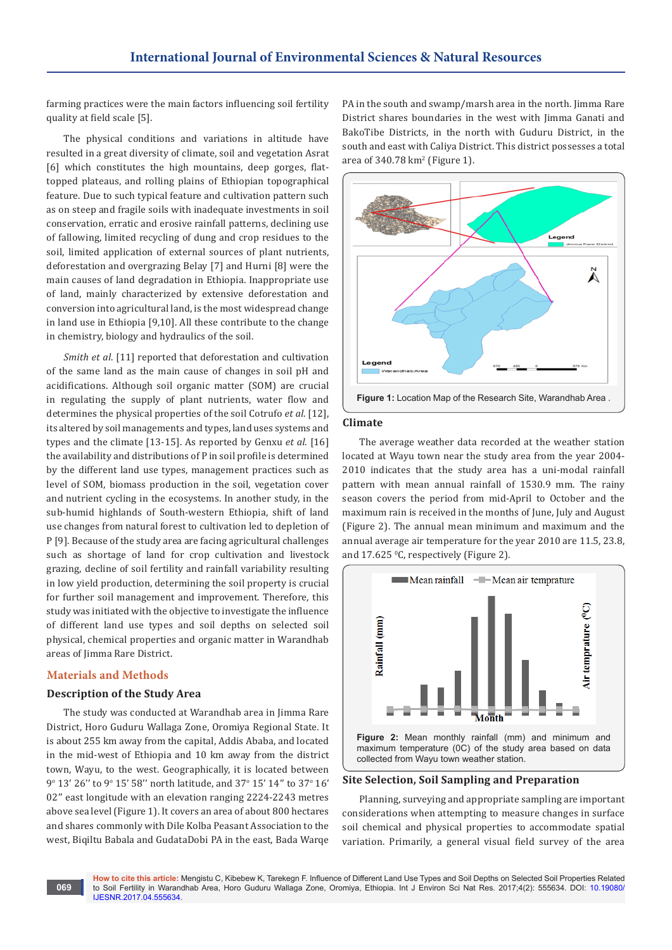farming practices were the main factors influencing soil fertility quality at field scale [5].

The physical conditions and variations in altitude have resulted in a great diversity of climate, soil and vegetation Asrat [6] which constitutes the high mountains, deep gorges, flattopped plateaus, and rolling plains of Ethiopian topographical feature. Due to such typical feature and cultivation pattern such as on steep and fragile soils with inadequate investments in soil conservation, erratic and erosive rainfall patterns, declining use of fallowing, limited recycling of dung and crop residues to the soil, limited application of external sources of plant nutrients, deforestation and overgrazing Belay [7] and Hurni [8] were the main causes of land degradation in Ethiopia. Inappropriate use of land, mainly characterized by extensive deforestation and conversion into agricultural land, is the most widespread change in land use in Ethiopia [9,10]. All these contribute to the change in chemistry, biology and hydraulics of the soil.

*Smith et al*. [11] reported that deforestation and cultivation of the same land as the main cause of changes in soil pH and acidifications. Although soil organic matter (SOM) are crucial in regulating the supply of plant nutrients, water flow and determines the physical properties of the soil Cotrufo *et al*. [12], its altered by soil managements and types, land uses systems and types and the climate [13-15]. As reported by Genxu *et al*. [16] the availability and distributions of P in soil profile is determined by the different land use types, management practices such as level of SOM, biomass production in the soil, vegetation cover and nutrient cycling in the ecosystems. In another study, in the sub-humid highlands of South-western Ethiopia, shift of land use changes from natural forest to cultivation led to depletion of P [9]. Because of the study area are facing agricultural challenges such as shortage of land for crop cultivation and livestock grazing, decline of soil fertility and rainfall variability resulting in low yield production, determining the soil property is crucial for further soil management and improvement. Therefore, this study was initiated with the objective to investigate the influence of different land use types and soil depths on selected soil physical, chemical properties and organic matter in Warandhab areas of Jimma Rare District.

## **Materials and Methods**

**069**

#### **Description of the Study Area**

The study was conducted at Warandhab area in Jimma Rare District, Horo Guduru Wallaga Zone, Oromiya Regional State. It is about 255 km away from the capital, Addis Ababa, and located in the mid-west of Ethiopia and 10 km away from the district town, Wayu, to the west. Geographically, it is located between 9° 13' 26" to 9° 15' 58" north latitude, and 37° 15' 14" to 37° 16' 02'' east longitude with an elevation ranging 2224-2243 metres above sea level (Figure 1). It covers an area of about 800 hectares and shares commonly with Dile Kolba Peasant Association to the west, Biqiltu Babala and GudataDobi PA in the east, Bada Warqe

PA in the south and swamp/marsh area in the north. Jimma Rare District shares boundaries in the west with Jimma Ganati and BakoTibe Districts, in the north with Guduru District, in the south and east with Caliya District. This district possesses a total area of 340.78 km<sup>2</sup> (Figure 1).



#### **Climate**

The average weather data recorded at the weather station located at Wayu town near the study area from the year 2004- 2010 indicates that the study area has a uni-modal rainfall pattern with mean annual rainfall of 1530.9 mm. The rainy season covers the period from mid-April to October and the maximum rain is received in the months of June, July and August (Figure 2). The annual mean minimum and maximum and the annual average air temperature for the year 2010 are 11.5, 23.8, and 17.625 °C, respectively (Figure 2).



#### **Site Selection, Soil Sampling and Preparation**

Planning, surveying and appropriate sampling are important considerations when attempting to measure changes in surface soil chemical and physical properties to accommodate spatial variation. Primarily, a general visual field survey of the area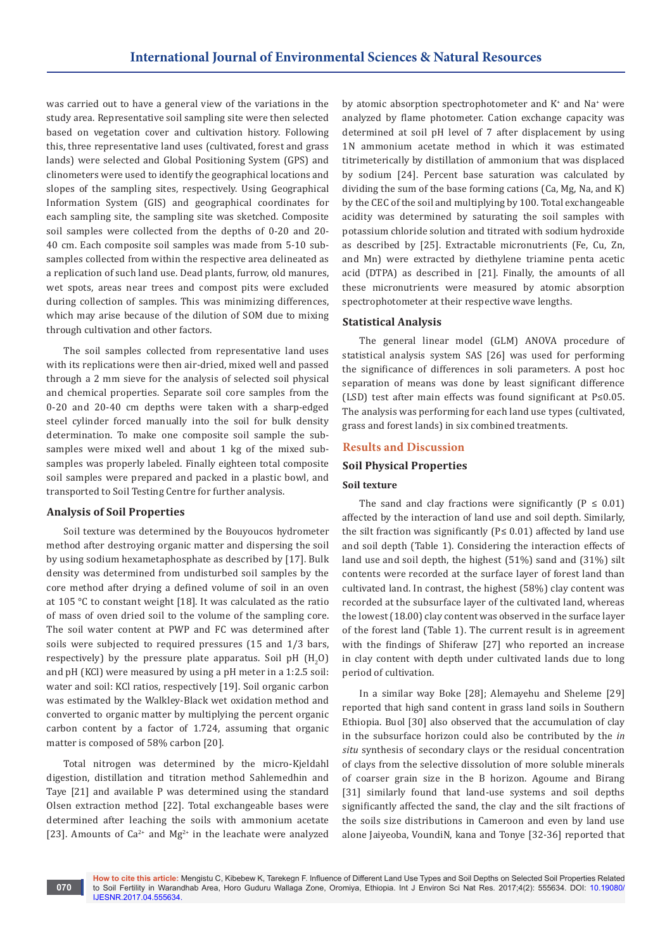was carried out to have a general view of the variations in the study area. Representative soil sampling site were then selected based on vegetation cover and cultivation history. Following this, three representative land uses (cultivated, forest and grass lands) were selected and Global Positioning System (GPS) and clinometers were used to identify the geographical locations and slopes of the sampling sites, respectively. Using Geographical Information System (GIS) and geographical coordinates for each sampling site, the sampling site was sketched. Composite soil samples were collected from the depths of 0-20 and 20- 40 cm. Each composite soil samples was made from 5-10 subsamples collected from within the respective area delineated as a replication of such land use. Dead plants, furrow, old manures, wet spots, areas near trees and compost pits were excluded during collection of samples. This was minimizing differences, which may arise because of the dilution of SOM due to mixing through cultivation and other factors.

The soil samples collected from representative land uses with its replications were then air-dried, mixed well and passed through a 2 mm sieve for the analysis of selected soil physical and chemical properties. Separate soil core samples from the 0-20 and 20-40 cm depths were taken with a sharp-edged steel cylinder forced manually into the soil for bulk density determination. To make one composite soil sample the subsamples were mixed well and about 1 kg of the mixed subsamples was properly labeled. Finally eighteen total composite soil samples were prepared and packed in a plastic bowl, and transported to Soil Testing Centre for further analysis.

## **Analysis of Soil Properties**

Soil texture was determined by the Bouyoucos hydrometer method after destroying organic matter and dispersing the soil by using sodium hexametaphosphate as described by [17]. Bulk density was determined from undisturbed soil samples by the core method after drying a defined volume of soil in an oven at 105 °C to constant weight [18]. It was calculated as the ratio of mass of oven dried soil to the volume of the sampling core. The soil water content at PWP and FC was determined after soils were subjected to required pressures (15 and 1/3 bars, respectively) by the pressure plate apparatus. Soil pH  $(H_2O)$ and pH (KCl) were measured by using a pH meter in a 1:2.5 soil: water and soil: KCl ratios, respectively [19]. Soil organic carbon was estimated by the Walkley-Black wet oxidation method and converted to organic matter by multiplying the percent organic carbon content by a factor of 1.724, assuming that organic matter is composed of 58% carbon [20].

Total nitrogen was determined by the micro-Kjeldahl digestion, distillation and titration method Sahlemedhin and Taye [21] and available P was determined using the standard Olsen extraction method [22]. Total exchangeable bases were determined after leaching the soils with ammonium acetate [23]. Amounts of  $Ca^{2+}$  and  $Mg^{2+}$  in the leachate were analyzed

by atomic absorption spectrophotometer and K<sup>+</sup> and Na<sup>+</sup> were analyzed by flame photometer. Cation exchange capacity was determined at soil pH level of 7 after displacement by using 1N ammonium acetate method in which it was estimated titrimeterically by distillation of ammonium that was displaced by sodium [24]. Percent base saturation was calculated by dividing the sum of the base forming cations (Ca, Mg, Na, and K) by the CEC of the soil and multiplying by 100. Total exchangeable acidity was determined by saturating the soil samples with potassium chloride solution and titrated with sodium hydroxide as described by [25]. Extractable micronutrients (Fe, Cu, Zn, and Mn) were extracted by diethylene triamine penta acetic acid (DTPA) as described in [21]. Finally, the amounts of all these micronutrients were measured by atomic absorption spectrophotometer at their respective wave lengths.

# **Statistical Analysis**

The general linear model (GLM) ANOVA procedure of statistical analysis system SAS [26] was used for performing the significance of differences in soli parameters. A post hoc separation of means was done by least significant difference (LSD) test after main effects was found significant at P≤0.05. The analysis was performing for each land use types (cultivated, grass and forest lands) in six combined treatments.

# **Results and Discussion**

# **Soil Physical Properties**

## **Soil texture**

The sand and clay fractions were significantly  $(P \le 0.01)$ affected by the interaction of land use and soil depth. Similarly, the silt fraction was significantly ( $P≤ 0.01$ ) affected by land use and soil depth (Table 1). Considering the interaction effects of land use and soil depth, the highest (51%) sand and (31%) silt contents were recorded at the surface layer of forest land than cultivated land. In contrast, the highest (58%) clay content was recorded at the subsurface layer of the cultivated land, whereas the lowest (18.00) clay content was observed in the surface layer of the forest land (Table 1). The current result is in agreement with the findings of Shiferaw [27] who reported an increase in clay content with depth under cultivated lands due to long period of cultivation.

In a similar way Boke [28]; Alemayehu and Sheleme [29] reported that high sand content in grass land soils in Southern Ethiopia. Buol [30] also observed that the accumulation of clay in the subsurface horizon could also be contributed by the *in situ* synthesis of secondary clays or the residual concentration of clays from the selective dissolution of more soluble minerals of coarser grain size in the B horizon. Agoume and Birang [31] similarly found that land-use systems and soil depths significantly affected the sand, the clay and the silt fractions of the soils size distributions in Cameroon and even by land use alone Jaiyeoba, VoundiN, kana and Tonye [32-36] reported that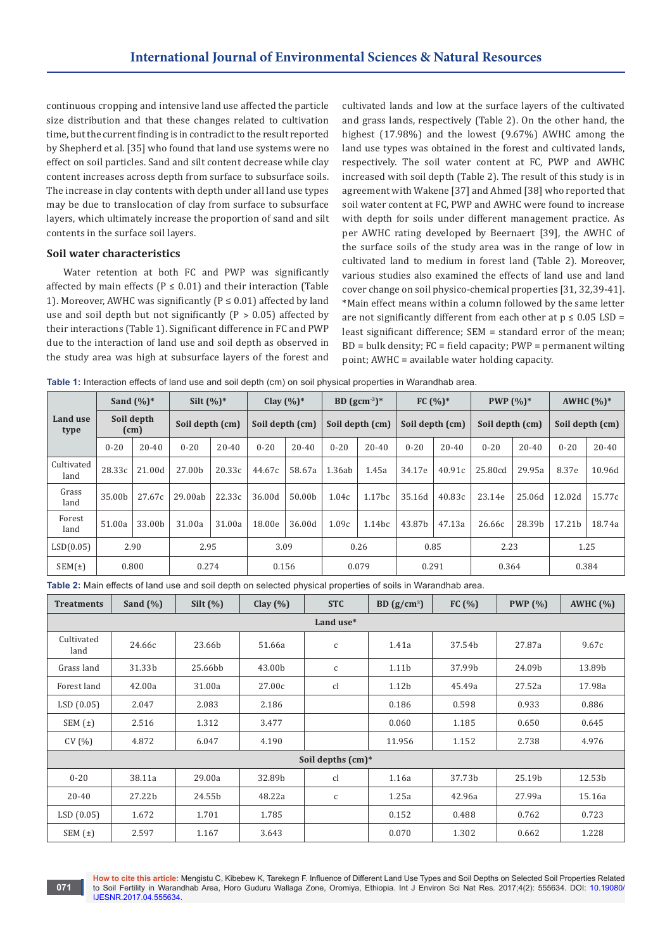continuous cropping and intensive land use affected the particle size distribution and that these changes related to cultivation time, but the current finding is in contradict to the result reported by Shepherd et al. [35] who found that land use systems were no effect on soil particles. Sand and silt content decrease while clay content increases across depth from surface to subsurface soils. The increase in clay contents with depth under all land use types may be due to translocation of clay from surface to subsurface layers, which ultimately increase the proportion of sand and silt contents in the surface soil layers.

#### **Soil water characteristics**

Water retention at both FC and PWP was significantly affected by main effects ( $P \le 0.01$ ) and their interaction (Table 1). Moreover, AWHC was significantly ( $P \le 0.01$ ) affected by land use and soil depth but not significantly ( $P > 0.05$ ) affected by their interactions (Table 1). Significant difference in FC and PWP due to the interaction of land use and soil depth as observed in the study area was high at subsurface layers of the forest and cultivated lands and low at the surface layers of the cultivated and grass lands, respectively (Table 2). On the other hand, the highest (17.98%) and the lowest (9.67%) AWHC among the land use types was obtained in the forest and cultivated lands, respectively. The soil water content at FC, PWP and AWHC increased with soil depth (Table 2). The result of this study is in agreement with Wakene [37] and Ahmed [38] who reported that soil water content at FC, PWP and AWHC were found to increase with depth for soils under different management practice. As per AWHC rating developed by Beernaert [39], the AWHC of the surface soils of the study area was in the range of low in cultivated land to medium in forest land (Table 2). Moreover, various studies also examined the effects of land use and land cover change on soil physico-chemical properties [31, 32,39-41]. \*Main effect means within a column followed by the same letter are not significantly different from each other at  $p \le 0.05$  LSD = least significant difference; SEM = standard error of the mean;  $BD = bulk density$ ;  $FC = field capacity$ ;  $PWP = permanent$  wilting point; AWHC = available water holding capacity.

**Table 1:** Interaction effects of land use and soil depth (cm) on soil physical properties in Warandhab area.

|                         | Sand $(\%)^*$      |           | Silt $(\%)^*$   |           | Clay $(%)^*$    |           | BD $\rm(gcm^{-3})^*$ |                    | FC $(%)^*$      |           | <b>PWP</b> $(\%)^*$ |           | AWHC $(%)^*$    |           |
|-------------------------|--------------------|-----------|-----------------|-----------|-----------------|-----------|----------------------|--------------------|-----------------|-----------|---------------------|-----------|-----------------|-----------|
| <b>Land use</b><br>type | Soil depth<br>(cm) |           | Soil depth (cm) |           | Soil depth (cm) |           | Soil depth (cm)      |                    | Soil depth (cm) |           | Soil depth (cm)     |           | Soil depth (cm) |           |
|                         | $0 - 20$           | $20 - 40$ | $0 - 20$        | $20 - 40$ | $0 - 20$        | $20 - 40$ | $0 - 20$             | $20 - 40$          | $0 - 20$        | $20 - 40$ | $0 - 20$            | $20 - 40$ | $0 - 20$        | $20 - 40$ |
| Cultivated<br>land      | 28.33c             | 21.00d    | 27.00b          | 20.33c    | 44.67c          | 58.67a    | 1.36ab               | 1.45a              | 34.17e          | 40.91c    | 25.80cd             | 29.95a    | 8.37e           | 10.96d    |
| Grass<br>land           | 35.00b             | 27.67c    | 29.00ab         | 22.33c    | 36.00d          | 50.00b    | 1.04c                | 1.17 <sub>bc</sub> | 35.16d          | 40.83c    | 23.14e              | 25.06d    | 12.02d          | 15.77c    |
| Forest<br>land          | 51.00a             | 33.00b    | 31.00a          | 31.00a    | 18.00e          | 36.00d    | 1.09c                | 1.14bc             | 43.87b          | 47.13a    | 26.66c              | 28.39b    | 17.21b          | 18.74a    |
| LSD(0.05)               |                    | 2.90      | 2.95            |           |                 | 3.09      |                      | 0.26               |                 | 0.85      | 2.23                |           |                 | 1.25      |
| SEM(±)                  |                    | 0.800     | 0.274           |           |                 | 0.156     |                      | 0.079              |                 | 0.291     | 0.364               |           |                 | 0.384     |

**Table 2:** Main effects of land use and soil depth on selected physical properties of soils in Warandhab area.

| <b>Treatments</b>  | Sand $(\% )$ | Silt $(\%)$ | Clay $(\% )$ | <b>STC</b>        | BD $(g/cm^3)$     | FC(%)  | PWP(%) | AWHC(%) |  |  |  |
|--------------------|--------------|-------------|--------------|-------------------|-------------------|--------|--------|---------|--|--|--|
| Land use*          |              |             |              |                   |                   |        |        |         |  |  |  |
| Cultivated<br>land | 24.66c       | 23.66b      | 51.66a       | $\mathsf{C}$      | 1.41a             | 37.54b | 27.87a | 9.67c   |  |  |  |
| Grass land         | 31.33b       | 25.66bb     | 43.00b       | $\mathsf{C}$      | 1.11b             | 37.99b | 24.09b | 13.89b  |  |  |  |
| Forest land        | 42.00a       | 31.00a      | 27.00c       | cl                | 1.12 <sub>b</sub> | 45.49a | 27.52a | 17.98a  |  |  |  |
| LSD(0.05)          | 2.047        | 2.083       | 2.186        |                   | 0.186             | 0.598  | 0.933  | 0.886   |  |  |  |
| SEM(t)             | 2.516        | 1.312       | 3.477        |                   | 0.060             | 1.185  | 0.650  | 0.645   |  |  |  |
| CV(% )             | 4.872        | 6.047       | 4.190        |                   | 11.956            | 1.152  | 2.738  | 4.976   |  |  |  |
|                    |              |             |              | Soil depths (cm)* |                   |        |        |         |  |  |  |
| $0 - 20$           | 38.11a       | 29.00a      | 32.89b       | cl                | 1.16a             | 37.73b | 25.19b | 12.53b  |  |  |  |
| $20 - 40$          | 27.22b       | 24.55b      | 48.22a       | $\mathsf{C}$      | 1.25a             | 42.96a | 27.99a | 15.16a  |  |  |  |
| LSD(0.05)          | 1.672        | 1.701       | 1.785        |                   | 0.152             | 0.488  | 0.762  | 0.723   |  |  |  |
| SEM $($ $\pm)$     | 2.597        | 1.167       | 3.643        |                   | 0.070             | 1.302  | 0.662  | 1.228   |  |  |  |

**How to cite this article:** Mengistu C, Kibebew K, Tarekegn F. Influence of Different Land Use Types and Soil Depths on Selected Soil Properties Related to Soil Fertility in Warandhab Area, Horo Guduru Wallaga Zone, Oromiya, Ethiopia. Int J Environ Sci Nat Res. 2017;4(2): 555634. DOI: [10.19080/](http://dx.doi.org/10.19080/IJESNR.2017.04.555634) [IJESNR.2017.04.555634.](http://dx.doi.org/10.19080/IJESNR.2017.04.555634)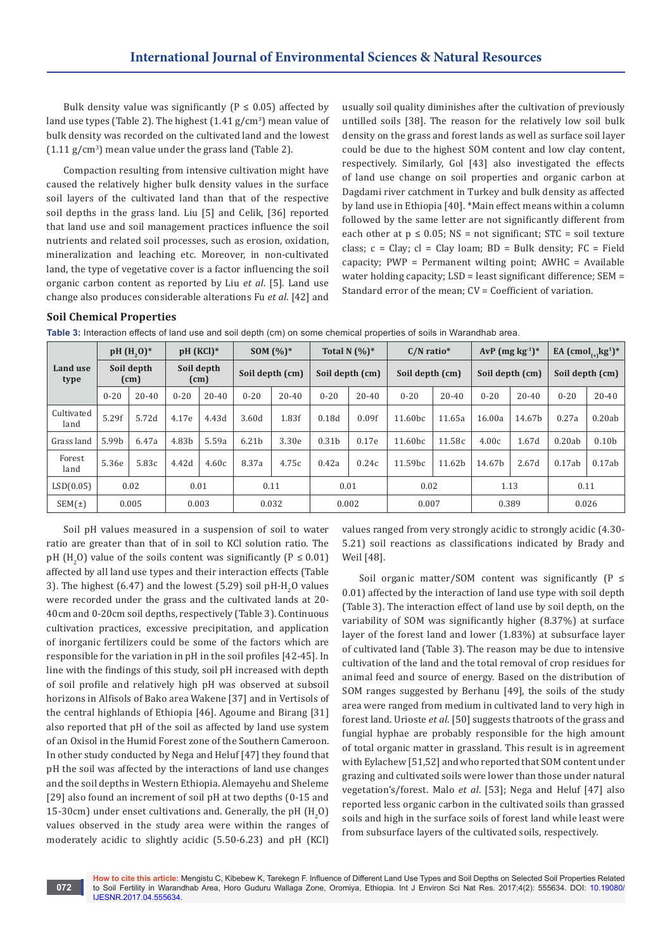Bulk density value was significantly ( $P \le 0.05$ ) affected by land use types (Table 2). The highest  $(1.41 \text{ g/cm}^3)$  mean value of bulk density was recorded on the cultivated land and the lowest  $(1.11 \text{ g/cm}^3)$  mean value under the grass land (Table 2).

Compaction resulting from intensive cultivation might have caused the relatively higher bulk density values in the surface soil layers of the cultivated land than that of the respective soil depths in the grass land. Liu [5] and Celik, [36] reported that land use and soil management practices influence the soil nutrients and related soil processes, such as erosion, oxidation, mineralization and leaching etc. Moreover, in non-cultivated land, the type of vegetative cover is a factor influencing the soil organic carbon content as reported by Liu *et al*. [5]. Land use change also produces considerable alterations Fu *et al*. [42] and

usually soil quality diminishes after the cultivation of previously untilled soils [38]. The reason for the relatively low soil bulk density on the grass and forest lands as well as surface soil layer could be due to the highest SOM content and low clay content, respectively. Similarly, Gol [43] also investigated the effects of land use change on soil properties and organic carbon at Dagdami river catchment in Turkey and bulk density as affected by land use in Ethiopia [40]. \*Main effect means within a column followed by the same letter are not significantly different from each other at  $p \le 0.05$ ; NS = not significant; STC = soil texture class;  $c = Clay$ ;  $cl = Clay$  loam;  $BD = Bulk$  density;  $FC = Field$ capacity; PWP = Permanent wilting point; AWHC = Available water holding capacity; LSD = least significant difference; SEM = Standard error of the mean; CV = Coefficient of variation.

## **Soil Chemical Properties**

**072**

**Table 3:** Interaction effects of land use and soil depth (cm) on some chemical properties of soils in Warandhab area.

|                    |                    | pH (H <sub>2</sub> O) <sup>*</sup> |                    | pH (KCl)* |                   | <b>SOM</b> $(\%)^*$ |                   | Total N $(%)^*$ | $C/N$ ratio*        |           |                 | $AvP$ (mg $kg^{-1}$ )* |                 | EA $(\text{cmol}_{(+)}\text{kg}^1)^*$ |
|--------------------|--------------------|------------------------------------|--------------------|-----------|-------------------|---------------------|-------------------|-----------------|---------------------|-----------|-----------------|------------------------|-----------------|---------------------------------------|
| Land use<br>type   | Soil depth<br>(cm) |                                    | Soil depth<br>(cm) |           | Soil depth (cm)   |                     | Soil depth (cm)   |                 | Soil depth (cm)     |           | Soil depth (cm) |                        | Soil depth (cm) |                                       |
|                    | $0 - 20$           | $20 - 40$                          | $0 - 20$           | $20 - 40$ | $0 - 20$          | $20 - 40$           | $0 - 20$          | $20 - 40$       | $0 - 20$            | $20 - 40$ | $0 - 20$        | $20 - 40$              | $0 - 20$        | $20 - 40$                             |
| Cultivated<br>land | 5.29f              | 5.72d                              | 4.17e              | 4.43d     | 3.60d             | 1.83f               | 0.18d             | 0.09f           | 11.60 <sub>bc</sub> | 11.65a    | 16.00a          | 14.67b                 | 0.27a           | 0.20ab                                |
| Grass land         | 5.99b              | 6.47a                              | 4.83b              | 5.59a     | 6.21 <sub>b</sub> | 3.30e               | 0.31 <sub>b</sub> | 0.17e           | 11.60 <sub>bc</sub> | 11.58c    | 4.00c           | 1.67d                  | 0.20ab          | 0.10 <sub>b</sub>                     |
| Forest<br>land     | 5.36e              | 5.83c                              | 4.42d              | 4.60c     | 8.37a             | 4.75c               | 0.42a             | 0.24c           | 11.59bc             | 11.62b    | 14.67b          | 2.67d                  | 0.17ab          | 0.17ab                                |
| LSD(0.05)          |                    | 0.02                               |                    | 0.01      |                   | 0.11                |                   | 0.01            | 0.02                |           |                 | 1.13                   | 0.11            |                                       |
| $SEM(\pm)$         |                    | 0.005                              |                    | 0.003     |                   | 0.032               |                   | 0.002           | 0.007               |           |                 | 0.389                  | 0.026           |                                       |

Soil pH values measured in a suspension of soil to water ratio are greater than that of in soil to KCl solution ratio. The  $\rm ph$  (H<sub>2</sub>O) value of the soils content was significantly (P  $\leq 0.01$ ) affected by all land use types and their interaction effects (Table 3). The highest (6.47) and the lowest (5.29) soil  $\text{pH-H}_{2}$ O values were recorded under the grass and the cultivated lands at 20- 40cm and 0-20cm soil depths, respectively (Table 3). Continuous cultivation practices, excessive precipitation, and application of inorganic fertilizers could be some of the factors which are responsible for the variation in pH in the soil profiles [42-45]. In line with the findings of this study, soil pH increased with depth of soil profile and relatively high pH was observed at subsoil horizons in Alfisols of Bako area Wakene [37] and in Vertisols of the central highlands of Ethiopia [46]. Agoume and Birang [31] also reported that pH of the soil as affected by land use system of an Oxisol in the Humid Forest zone of the Southern Cameroon. In other study conducted by Nega and Heluf [47] they found that pH the soil was affected by the interactions of land use changes and the soil depths in Western Ethiopia. Alemayehu and Sheleme [29] also found an increment of soil pH at two depths (0-15 and 15-30 cm) under enset cultivations and. Generally, the  $\rm pH~(H_{2}O)$ values observed in the study area were within the ranges of moderately acidic to slightly acidic (5.50-6.23) and pH (KCl)

values ranged from very strongly acidic to strongly acidic (4.30- 5.21) soil reactions as classifications indicated by Brady and Weil [48].

Soil organic matter/SOM content was significantly  $(P \leq$ 0.01) affected by the interaction of land use type with soil depth (Table 3). The interaction effect of land use by soil depth, on the variability of SOM was significantly higher (8.37%) at surface layer of the forest land and lower (1.83%) at subsurface layer of cultivated land (Table 3). The reason may be due to intensive cultivation of the land and the total removal of crop residues for animal feed and source of energy. Based on the distribution of SOM ranges suggested by Berhanu [49], the soils of the study area were ranged from medium in cultivated land to very high in forest land. Urioste *et al*. [50] suggests thatroots of the grass and fungial hyphae are probably responsible for the high amount of total organic matter in grassland. This result is in agreement with Eylachew [51,52] and who reported that SOM content under grazing and cultivated soils were lower than those under natural vegetation's/forest. Malo *et al*. [53]; Nega and Heluf [47] also reported less organic carbon in the cultivated soils than grassed soils and high in the surface soils of forest land while least were from subsurface layers of the cultivated soils, respectively.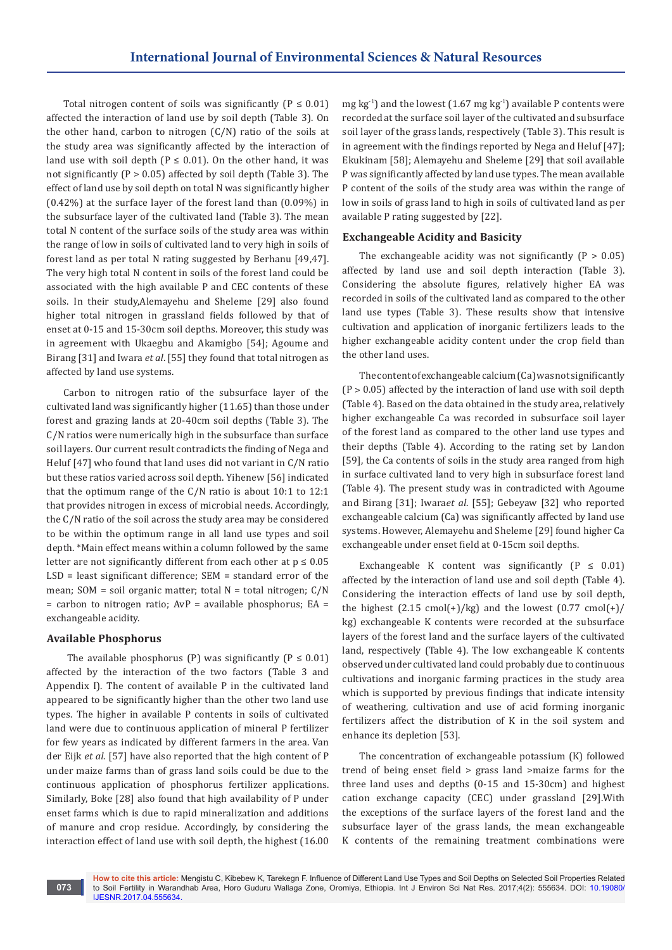Total nitrogen content of soils was significantly ( $P \le 0.01$ ) affected the interaction of land use by soil depth (Table 3). On the other hand, carbon to nitrogen  $(C/N)$  ratio of the soils at the study area was significantly affected by the interaction of land use with soil depth ( $P \le 0.01$ ). On the other hand, it was not significantly (P > 0.05) affected by soil depth (Table 3). The effect of land use by soil depth on total N was significantly higher (0.42%) at the surface layer of the forest land than (0.09%) in the subsurface layer of the cultivated land (Table 3). The mean total N content of the surface soils of the study area was within the range of low in soils of cultivated land to very high in soils of forest land as per total N rating suggested by Berhanu [49,47]. The very high total N content in soils of the forest land could be associated with the high available P and CEC contents of these soils. In their study,Alemayehu and Sheleme [29] also found higher total nitrogen in grassland fields followed by that of enset at 0-15 and 15-30cm soil depths. Moreover, this study was in agreement with Ukaegbu and Akamigbo [54]; Agoume and Birang [31] and Iwara *et al*. [55] they found that total nitrogen as affected by land use systems.

Carbon to nitrogen ratio of the subsurface layer of the cultivated land was significantly higher (11.65) than those under forest and grazing lands at 20-40cm soil depths (Table 3). The C/N ratios were numerically high in the subsurface than surface soil layers. Our current result contradicts the finding of Nega and Heluf [47] who found that land uses did not variant in C/N ratio but these ratios varied across soil depth. Yihenew [56] indicated that the optimum range of the C/N ratio is about 10:1 to 12:1 that provides nitrogen in excess of microbial needs. Accordingly, the C/N ratio of the soil across the study area may be considered to be within the optimum range in all land use types and soil depth. \*Main effect means within a column followed by the same letter are not significantly different from each other at  $p \le 0.05$ LSD = least significant difference; SEM = standard error of the mean; SOM = soil organic matter; total N = total nitrogen; C/N  $=$  carbon to nitrogen ratio; AvP  $=$  available phosphorus; EA  $=$ exchangeable acidity.

## **Available Phosphorus**

The available phosphorus (P) was significantly ( $P \le 0.01$ ) affected by the interaction of the two factors (Table 3 and Appendix I). The content of available P in the cultivated land appeared to be significantly higher than the other two land use types. The higher in available P contents in soils of cultivated land were due to continuous application of mineral P fertilizer for few years as indicated by different farmers in the area. Van der Eijk *et al*. [57] have also reported that the high content of P under maize farms than of grass land soils could be due to the continuous application of phosphorus fertilizer applications. Similarly, Boke [28] also found that high availability of P under enset farms which is due to rapid mineralization and additions of manure and crop residue. Accordingly, by considering the interaction effect of land use with soil depth, the highest (16.00

mg kg<sup>-1</sup>) and the lowest (1.67 mg kg<sup>-1</sup>) available P contents were recorded at the surface soil layer of the cultivated and subsurface soil layer of the grass lands, respectively (Table 3). This result is in agreement with the findings reported by Nega and Heluf [47]; Ekukinam [58]; Alemayehu and Sheleme [29] that soil available P was significantly affected by land use types. The mean available P content of the soils of the study area was within the range of low in soils of grass land to high in soils of cultivated land as per available P rating suggested by [22].

## **Exchangeable Acidity and Basicity**

The exchangeable acidity was not significantly  $(P > 0.05)$ affected by land use and soil depth interaction (Table 3). Considering the absolute figures, relatively higher EA was recorded in soils of the cultivated land as compared to the other land use types (Table 3). These results show that intensive cultivation and application of inorganic fertilizers leads to the higher exchangeable acidity content under the crop field than the other land uses.

The content of exchangeable calcium (Ca) was not significantly  $(P > 0.05)$  affected by the interaction of land use with soil depth (Table 4). Based on the data obtained in the study area, relatively higher exchangeable Ca was recorded in subsurface soil layer of the forest land as compared to the other land use types and their depths (Table 4). According to the rating set by Landon [59], the Ca contents of soils in the study area ranged from high in surface cultivated land to very high in subsurface forest land (Table 4). The present study was in contradicted with Agoume and Birang [31]; Iwara*et al*. [55]; Gebeyaw [32] who reported exchangeable calcium (Ca) was significantly affected by land use systems. However, Alemayehu and Sheleme [29] found higher Ca exchangeable under enset field at 0-15cm soil depths.

Exchangeable K content was significantly  $(P \le 0.01)$ affected by the interaction of land use and soil depth (Table 4). Considering the interaction effects of land use by soil depth, the highest  $(2.15 \text{ cmol}(+)$ /kg) and the lowest  $(0.77 \text{ cmol}(+)$ / kg) exchangeable K contents were recorded at the subsurface layers of the forest land and the surface layers of the cultivated land, respectively (Table 4). The low exchangeable K contents observed under cultivated land could probably due to continuous cultivations and inorganic farming practices in the study area which is supported by previous findings that indicate intensity of weathering, cultivation and use of acid forming inorganic fertilizers affect the distribution of K in the soil system and enhance its depletion [53].

The concentration of exchangeable potassium (K) followed trend of being enset field > grass land >maize farms for the three land uses and depths (0-15 and 15-30cm) and highest cation exchange capacity (CEC) under grassland [29].With the exceptions of the surface layers of the forest land and the subsurface layer of the grass lands, the mean exchangeable K contents of the remaining treatment combinations were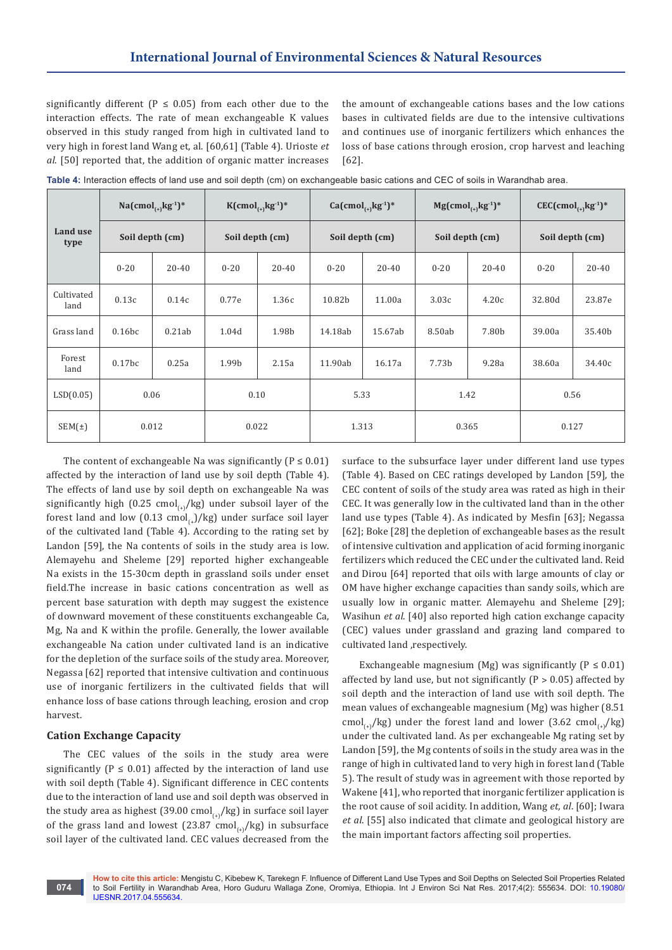significantly different ( $P \le 0.05$ ) from each other due to the interaction effects. The rate of mean exchangeable K values observed in this study ranged from high in cultivated land to very high in forest land Wang et, al. [60,61] (Table 4). Urioste *et al*. [50] reported that, the addition of organic matter increases

the amount of exchangeable cations bases and the low cations bases in cultivated fields are due to the intensive cultivations and continues use of inorganic fertilizers which enhances the loss of base cations through erosion, crop harvest and leaching [62].

|                    | $Na(cmol_{(+)}kg^{-1})^*$<br>Soil depth (cm) |           | $K(cmol_{(+)}kg^{-1})^*$<br>Soil depth (cm) |           |                 | $Ca(cmol_{(+)}kg^{1})*$ |                 | $Mg(cmol_{(+)}kg^{-1})^*$ | $CEC$ (cmol <sub>(+)</sub> kg <sup>-1</sup> )* |        |
|--------------------|----------------------------------------------|-----------|---------------------------------------------|-----------|-----------------|-------------------------|-----------------|---------------------------|------------------------------------------------|--------|
| Land use<br>type   |                                              |           |                                             |           | Soil depth (cm) |                         | Soil depth (cm) |                           | Soil depth (cm)                                |        |
|                    | $0 - 20$                                     | $20 - 40$ | $0 - 20$                                    | $20 - 40$ | $0 - 20$        | $20 - 40$               | $0 - 20$        | $20 - 40$                 | $0 - 20$                                       | 20-40  |
| Cultivated<br>land | 0.13c                                        | 0.14c     | 0.77e                                       | 1.36с     | 10.82b          | 11.00a                  | 3.03c           | 4.20c                     | 32.80d                                         | 23.87e |
| Grass land         | 0.16bc                                       | 0.21ab    | 1.04d                                       | 1.98b     | 14.18ab         | 15.67ab                 | 8.50ab          | 7.80b                     | 39.00a                                         | 35.40b |
| Forest<br>land     | 0.17 <sub>bc</sub>                           | 0.25a     | 1.99b                                       | 2.15a     | 11.90ab         | 16.17a                  | 7.73b           | 9.28a                     | 38.60a                                         | 34.40c |
| LSD(0.05)          | 0.06                                         |           | 0.10                                        |           | 5.33            |                         | 1.42            |                           |                                                | 0.56   |
| $SEM(\pm)$         | 0.012                                        |           | 0.022                                       |           | 1.313           |                         | 0.365           |                           | 0.127                                          |        |

**Table 4:** Interaction effects of land use and soil depth (cm) on exchangeable basic cations and CEC of soils in Warandhab area.

The content of exchangeable Na was significantly ( $P \le 0.01$ ) affected by the interaction of land use by soil depth (Table 4). The effects of land use by soil depth on exchangeable Na was significantly high (0.25 cmol<sub>(+)</sub>/kg) under subsoil layer of the forest land and low  $(0.13 \text{ cmol}_t)/kg$ ) under surface soil layer of the cultivated land (Table 4). According to the rating set by Landon [59], the Na contents of soils in the study area is low. Alemayehu and Sheleme [29] reported higher exchangeable Na exists in the 15-30cm depth in grassland soils under enset field.The increase in basic cations concentration as well as percent base saturation with depth may suggest the existence of downward movement of these constituents exchangeable Ca, Mg, Na and K within the profile. Generally, the lower available exchangeable Na cation under cultivated land is an indicative for the depletion of the surface soils of the study area. Moreover, Negassa [62] reported that intensive cultivation and continuous use of inorganic fertilizers in the cultivated fields that will enhance loss of base cations through leaching, erosion and crop harvest.

## **Cation Exchange Capacity**

The CEC values of the soils in the study area were significantly ( $P \le 0.01$ ) affected by the interaction of land use with soil depth (Table 4). Significant difference in CEC contents due to the interaction of land use and soil depth was observed in the study area as highest (39.00 cmol<sub>(+1</sub>/kg) in surface soil layer of the grass land and lowest (23.87 cmol<sub>(a)</sub>/kg) in subsurface soil layer of the cultivated land. CEC values decreased from the

surface to the subsurface layer under different land use types (Table 4). Based on CEC ratings developed by Landon [59], the CEC content of soils of the study area was rated as high in their CEC. It was generally low in the cultivated land than in the other land use types (Table 4). As indicated by Mesfin [63]; Negassa [62]; Boke [28] the depletion of exchangeable bases as the result of intensive cultivation and application of acid forming inorganic fertilizers which reduced the CEC under the cultivated land. Reid and Dirou [64] reported that oils with large amounts of clay or OM have higher exchange capacities than sandy soils, which are usually low in organic matter. Alemayehu and Sheleme [29]; Wasihun *et al*. [40] also reported high cation exchange capacity (CEC) values under grassland and grazing land compared to cultivated land ,respectively.

Exchangeable magnesium (Mg) was significantly ( $P \le 0.01$ ) affected by land use, but not significantly ( $P > 0.05$ ) affected by soil depth and the interaction of land use with soil depth. The mean values of exchangeable magnesium (Mg) was higher (8.51 cmol<sub>(a)</sub>/kg) under the forest land and lower (3.62 cmol<sub>(a)</sub>/kg) under the cultivated land. As per exchangeable Mg rating set by Landon [59], the Mg contents of soils in the study area was in the range of high in cultivated land to very high in forest land (Table 5). The result of study was in agreement with those reported by Wakene [41], who reported that inorganic fertilizer application is the root cause of soil acidity. In addition, Wang *et, al*. [60]; Iwara *et al*. [55] also indicated that climate and geological history are the main important factors affecting soil properties.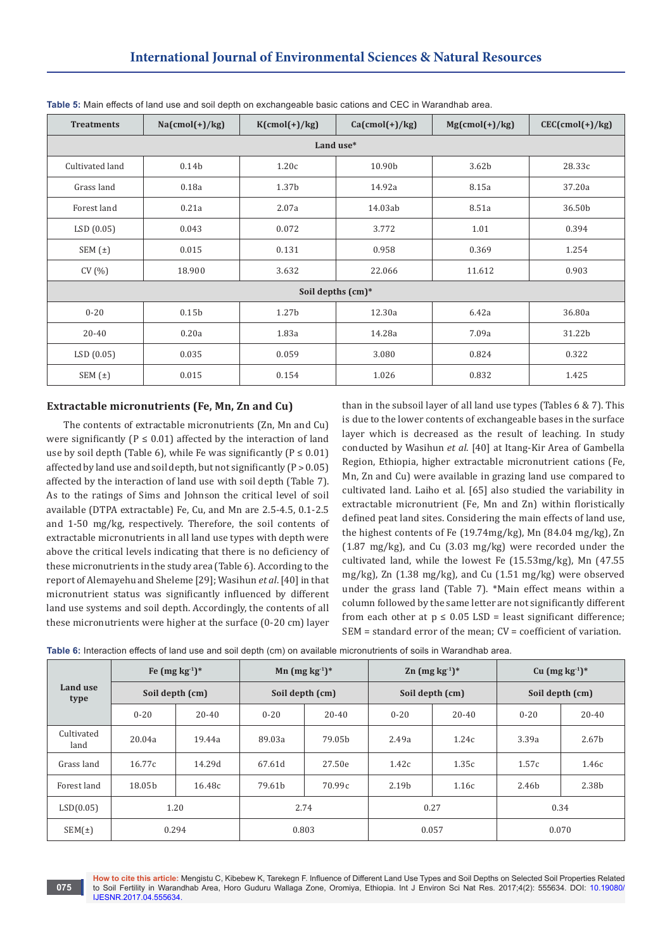| <b>Treatments</b> | $Na(cmol(+)/kg)$  | $K(cmol(+)/kg)$   | $Ca(cmol(+)/kg)$    | $Mg(rmol(+)/kg)$  | $CEC(cmol(+)/kg)$ |  |  |  |  |  |  |
|-------------------|-------------------|-------------------|---------------------|-------------------|-------------------|--|--|--|--|--|--|
| Land use*         |                   |                   |                     |                   |                   |  |  |  |  |  |  |
| Cultivated land   | 0.14 <sub>b</sub> | 1.20c             | 10.90b              | 3.62 <sub>b</sub> | 28.33c            |  |  |  |  |  |  |
| Grass land        | 0.18a             | 1.37 <sub>b</sub> | 14.92a              | 8.15a             | 37.20a            |  |  |  |  |  |  |
| Forest land       | 0.21a             | 2.07a             | 14.03ab             | 8.51a             | 36.50b            |  |  |  |  |  |  |
| LSD(0.05)         | 0.043             | 0.072             | 3.772               | 1.01              | 0.394             |  |  |  |  |  |  |
| SEM $(\pm)$       | 0.015             | 0.131             | 0.958               | 0.369             | 1.254             |  |  |  |  |  |  |
| CV(%)             | 18.900            | 3.632             | 22.066              | 11.612            | 0.903             |  |  |  |  |  |  |
|                   |                   |                   | Soil depths $(cm)*$ |                   |                   |  |  |  |  |  |  |
| $0 - 20$          | 0.15 <sub>b</sub> | 1.27 <sub>b</sub> | 12.30a              | 6.42a             | 36.80a            |  |  |  |  |  |  |
| 20-40             | 0.20a             | 1.83a             | 14.28a              | 7.09a             | 31.22b            |  |  |  |  |  |  |
| LSD(0.05)         | 0.035             | 0.059             | 3.080               | 0.824             | 0.322             |  |  |  |  |  |  |
| SEM(t)            | 0.015             | 0.154             | 1.026               | 0.832             | 1.425             |  |  |  |  |  |  |

**Table 5:** Main effects of land use and soil depth on exchangeable basic cations and CEC in Warandhab area.

## **Extractable micronutrients (Fe, Mn, Zn and Cu)**

The contents of extractable micronutrients (Zn, Mn and Cu) were significantly ( $P \le 0.01$ ) affected by the interaction of land use by soil depth (Table 6), while Fe was significantly ( $P \le 0.01$ ) affected by land use and soil depth, but not significantly  $(P > 0.05)$ affected by the interaction of land use with soil depth (Table 7). As to the ratings of Sims and Johnson the critical level of soil available (DTPA extractable) Fe, Cu, and Mn are 2.5-4.5, 0.1-2.5 and 1-50 mg/kg, respectively. Therefore, the soil contents of extractable micronutrients in all land use types with depth were above the critical levels indicating that there is no deficiency of these micronutrients in the study area (Table 6). According to the report of Alemayehu and Sheleme [29]; Wasihun *et al*. [40] in that micronutrient status was significantly influenced by different land use systems and soil depth. Accordingly, the contents of all these micronutrients were higher at the surface (0-20 cm) layer

than in the subsoil layer of all land use types (Tables 6 & 7). This is due to the lower contents of exchangeable bases in the surface layer which is decreased as the result of leaching. In study conducted by Wasihun *et al*. [40] at Itang-Kir Area of Gambella Region, Ethiopia, higher extractable micronutrient cations (Fe, Mn, Zn and Cu) were available in grazing land use compared to cultivated land. Laiho et al. [65] also studied the variability in extractable micronutrient (Fe, Mn and Zn) within floristically defined peat land sites. Considering the main effects of land use, the highest contents of Fe (19.74mg/kg), Mn (84.04 mg/kg), Zn (1.87 mg/kg), and Cu (3.03 mg/kg) were recorded under the cultivated land, while the lowest Fe (15.53mg/kg), Mn (47.55 mg/kg), Zn (1.38 mg/kg), and Cu (1.51 mg/kg) were observed under the grass land (Table 7). \*Main effect means within a column followed by the same letter are not significantly different from each other at  $p \le 0.05$  LSD = least significant difference; SEM = standard error of the mean; CV = coefficient of variation.

|  | Table 6: Interaction effects of land use and soil depth (cm) on available micronutrients of soils in Warandhab area. |
|--|----------------------------------------------------------------------------------------------------------------------|
|--|----------------------------------------------------------------------------------------------------------------------|

| Land use<br>type   | Fe $(mg kg-1)$ *<br>Soil depth (cm) |           | Mn $(mg kg-1)$ *<br>Soil depth (cm) |                    |          | $\text{Zn}$ (mg kg <sup>-1</sup> ) <sup>*</sup> | Cu $(mg kg-1)$ * |           |  |
|--------------------|-------------------------------------|-----------|-------------------------------------|--------------------|----------|-------------------------------------------------|------------------|-----------|--|
|                    |                                     |           |                                     |                    |          | Soil depth (cm)                                 | Soil depth (cm)  |           |  |
|                    | $0 - 20$                            | $20 - 40$ | $0 - 20$                            | $20 - 40$          | $0 - 20$ | $20 - 40$                                       | $0 - 20$         | $20 - 40$ |  |
| Cultivated<br>land | 20.04a                              | 19.44a    | 89.03a                              | 79.05 <sub>h</sub> | 2.49a    | 1.24c                                           | 3.39a            | 2.67b     |  |
| Grass land         | 16.77c                              | 14.29d    | 67.61d                              | 27.50e             | 1.42c    | 1.35c                                           | 1.57c            | 1.46c     |  |
| Forest land        | 18.05b                              | 16.48c    | 79.61b                              | 70.99c             | 2.19b    | 1.16c                                           | 2.46b            | 2.38b     |  |
| LSD(0.05)          | 1.20                                |           | 2.74                                |                    | 0.27     |                                                 | 0.34             |           |  |
| SEM(t)             | 0.294                               |           | 0.803                               |                    | 0.057    |                                                 | 0.070            |           |  |

**How to cite this article:** Mengistu C, Kibebew K, Tarekegn F. Influence of Different Land Use Types and Soil Depths on Selected Soil Properties Related to Soil Fertility in Warandhab Area, Horo Guduru Wallaga Zone, Oromiya, Ethiopia. Int J Environ Sci Nat Res. 2017;4(2): 555634. DOI: [10.19080/](http://dx.doi.org/10.19080/IJESNR.2017.04.555634) [IJESNR.2017.04.555634.](http://dx.doi.org/10.19080/IJESNR.2017.04.555634)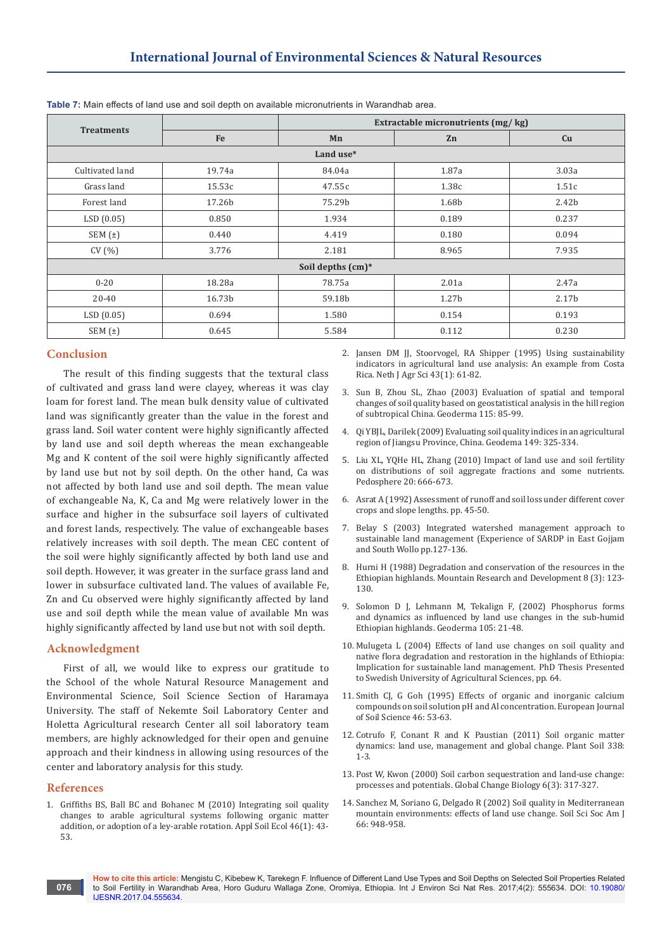|                   |        |                   | Extractable micronutrients (mg/kg) |                   |  |  |  |  |  |  |  |
|-------------------|--------|-------------------|------------------------------------|-------------------|--|--|--|--|--|--|--|
| <b>Treatments</b> | Fe     | Mn                | Zn                                 | Cu                |  |  |  |  |  |  |  |
| Land use*         |        |                   |                                    |                   |  |  |  |  |  |  |  |
| Cultivated land   | 19.74a | 84.04a            | 1.87a                              | 3.03a             |  |  |  |  |  |  |  |
| Grass land        | 15.53c | 47.55c            | 1.38c                              | 1.51c             |  |  |  |  |  |  |  |
| Forest land       | 17.26b | 75.29b            | 1.68b                              | 2.42 <sub>b</sub> |  |  |  |  |  |  |  |
| LSD(0.05)         | 0.850  | 1.934             | 0.189                              | 0.237             |  |  |  |  |  |  |  |
| SEM $(t)$         | 0.440  | 4.419             | 0.180                              | 0.094             |  |  |  |  |  |  |  |
| CV(%)             | 3.776  | 2.181             | 8.965                              | 7.935             |  |  |  |  |  |  |  |
|                   |        | Soil depths (cm)* |                                    |                   |  |  |  |  |  |  |  |
| $0 - 20$          | 18.28a | 78.75a            | 2.01a                              | 2.47a             |  |  |  |  |  |  |  |
| $20 - 40$         | 16.73b | 59.18b            | 1.27 <sub>b</sub>                  | 2.17 <sub>b</sub> |  |  |  |  |  |  |  |
| LSD(0.05)         | 0.694  | 1.580             | 0.154                              | 0.193             |  |  |  |  |  |  |  |
| SEM(t)            | 0.645  | 5.584             | 0.112                              | 0.230             |  |  |  |  |  |  |  |

**Table 7:** Main effects of land use and soil depth on available micronutrients in Warandhab area.

## **Conclusion**

The result of this finding suggests that the textural class of cultivated and grass land were clayey, whereas it was clay loam for forest land. The mean bulk density value of cultivated land was significantly greater than the value in the forest and grass land. Soil water content were highly significantly affected by land use and soil depth whereas the mean exchangeable Mg and K content of the soil were highly significantly affected by land use but not by soil depth. On the other hand, Ca was not affected by both land use and soil depth. The mean value of exchangeable Na, K, Ca and Mg were relatively lower in the surface and higher in the subsurface soil layers of cultivated and forest lands, respectively. The value of exchangeable bases relatively increases with soil depth. The mean CEC content of the soil were highly significantly affected by both land use and soil depth. However, it was greater in the surface grass land and lower in subsurface cultivated land. The values of available Fe, Zn and Cu observed were highly significantly affected by land use and soil depth while the mean value of available Mn was highly significantly affected by land use but not with soil depth.

# **Acknowledgment**

First of all, we would like to express our gratitude to the School of the whole Natural Resource Management and Environmental Science, Soil Science Section of Haramaya University. The staff of Nekemte Soil Laboratory Center and Holetta Agricultural research Center all soil laboratory team members, are highly acknowledged for their open and genuine approach and their kindness in allowing using resources of the center and laboratory analysis for this study.

#### **References**

1. [Griffiths BS, Ball BC and Bohanec M \(2010\) Integrating soil quality](http://www.sciencedirect.com/science/article/pii/S0929139310001149)  [changes to arable agricultural systems following organic matter](http://www.sciencedirect.com/science/article/pii/S0929139310001149)  [addition, or adoption of a ley-arable rotation. Appl Soil Ecol 46\(1\): 43-](http://www.sciencedirect.com/science/article/pii/S0929139310001149) [53.](http://www.sciencedirect.com/science/article/pii/S0929139310001149)

- 2. [Jansen DM JJ, Stoorvogel, RA Shipper \(1995\) Using sustainability](http://library.wur.nl/ojs/index.php/njas/article/view/585)  [indicators in agricultural land use analysis: An example from Costa](http://library.wur.nl/ojs/index.php/njas/article/view/585)  [Rica. Neth J Agr Sci 43\(1\): 61-82.](http://library.wur.nl/ojs/index.php/njas/article/view/585)
- 3. [Sun B, Zhou SL, Zhao \(2003\) Evaluation of spatial and temporal](http://www.cern.ac.cn/ftp/0303%20Evaluation%20of%20spatial%20and%20temporal%20changes)  [changes of soil quality based on geostatistical analysis in the hill region](http://www.cern.ac.cn/ftp/0303%20Evaluation%20of%20spatial%20and%20temporal%20changes)  [of subtropical China. Geoderma 115: 85-99.](http://www.cern.ac.cn/ftp/0303%20Evaluation%20of%20spatial%20and%20temporal%20changes)
- 4. [Qi YBJL, Darilek \(2009\) Evaluating soil quality indices in an agricultural](https://www.researchgate.net/publication/223760024_Evaluating_soil_quality_indices_in_an_agricultural_region_of_Jiangsu_Province_China)  [region of Jiangsu Province, China. Geodema 149: 325-334.](https://www.researchgate.net/publication/223760024_Evaluating_soil_quality_indices_in_an_agricultural_region_of_Jiangsu_Province_China)
- 5. [Liu XL, YQHe HL, Zhang \(2010\) Impact of land use and soil fertility](https://www.researchgate.net/publication/241105330_Impact_of_Land_Use_and_Soil_Fertility_on_Distributions_of_Soil_Aggregate_Fractions_and_Some_Nutrients)  [on distributions of soil aggregate fractions and some nutrients.](https://www.researchgate.net/publication/241105330_Impact_of_Land_Use_and_Soil_Fertility_on_Distributions_of_Soil_Aggregate_Fractions_and_Some_Nutrients)  [Pedosphere 20: 666-673.](https://www.researchgate.net/publication/241105330_Impact_of_Land_Use_and_Soil_Fertility_on_Distributions_of_Soil_Aggregate_Fractions_and_Some_Nutrients)
- 6. [Asrat A \(1992\) Assessment of runoff and soil loss under different cover](http://agris.fao.org/agris-search/search.do?recordID=ET19930080581)  [crops and slope lengths. pp. 45-50.](http://agris.fao.org/agris-search/search.do?recordID=ET19930080581)
- 7. [Belay S \(2003\) Integrated watershed management approach to](http://www.sciepub.com/reference/98567)  [sustainable land management \(Experience of SARDP in East Gojjam](http://www.sciepub.com/reference/98567)  [and South Wollo pp.127-136.](http://www.sciepub.com/reference/98567)
- 8. Hurni H (1988) Degradation and conservation of the resources in the Ethiopian highlands. Mountain Research and Development 8 (3): 123- 130.
- 9. [Solomon D J, Lehmann M, Tekalign F, \(2002\) Phosphorus forms](http://citeseerx.ist.psu.edu/viewdoc/download?doi=10.1.1.182.9989&rep=rep1&type=pdf)  [and dynamics as influenced by land use changes in the sub-humid](http://citeseerx.ist.psu.edu/viewdoc/download?doi=10.1.1.182.9989&rep=rep1&type=pdf)  [Ethiopian highlands. Geoderma 105: 21-48.](http://citeseerx.ist.psu.edu/viewdoc/download?doi=10.1.1.182.9989&rep=rep1&type=pdf)
- 10. [Mulugeta L \(2004\) Effects of land use changes on soil quality and](http://citeseerx.ist.psu.edu/viewdoc/download?doi=10.1.1.459.8284&rep=rep1&type=pdf)  [native flora degradation and restoration in the highlands of Ethiopia:](http://citeseerx.ist.psu.edu/viewdoc/download?doi=10.1.1.459.8284&rep=rep1&type=pdf)  [Implication for sustainable land management. PhD Thesis Presented](http://citeseerx.ist.psu.edu/viewdoc/download?doi=10.1.1.459.8284&rep=rep1&type=pdf)  [to Swedish University of Agricultural Sciences, pp. 64.](http://citeseerx.ist.psu.edu/viewdoc/download?doi=10.1.1.459.8284&rep=rep1&type=pdf)
- 11. [Smith CJ, G Goh \(1995\) Effects of organic and inorganic calcium](http://onlinelibrary.wiley.com/doi/10.1111/j.1365-2389.1995.tb01812.x/abstract)  [compounds on soil solution pH and Al concentration. European Journal](http://onlinelibrary.wiley.com/doi/10.1111/j.1365-2389.1995.tb01812.x/abstract)  [of Soil Science 46: 53-63.](http://onlinelibrary.wiley.com/doi/10.1111/j.1365-2389.1995.tb01812.x/abstract)
- 12. [Cotrufo F, Conant R and K Paustian \(2011\) Soil organic matter](https://link.springer.com/article/10.1007/s11104-010-0617-6)  [dynamics: land use, management and global change. Plant Soil 338:](https://link.springer.com/article/10.1007/s11104-010-0617-6)  [1-3.](https://link.springer.com/article/10.1007/s11104-010-0617-6)
- 13. [Post W, Kwon \(2000\) Soil carbon sequestration and land-use change:](http://onlinelibrary.wiley.com/doi/10.1046/j.1365-2486.2000.00308.x/abstract)  [processes and potentials. Global Change Biology 6\(3\): 317-327.](http://onlinelibrary.wiley.com/doi/10.1046/j.1365-2486.2000.00308.x/abstract)
- 14. [Sanchez M, Soriano G, Delgado R \(2002\) Soil quality in Mediterranean](https://www.researchgate.net/publication/242125638_Soil_Quality_in_Mediterranean_Mountain_Environments_Effects_of_Land_Use_Change)  [mountain environments: effects of land use change. Soil Sci Soc Am J](https://www.researchgate.net/publication/242125638_Soil_Quality_in_Mediterranean_Mountain_Environments_Effects_of_Land_Use_Change)  [66: 948-958.](https://www.researchgate.net/publication/242125638_Soil_Quality_in_Mediterranean_Mountain_Environments_Effects_of_Land_Use_Change)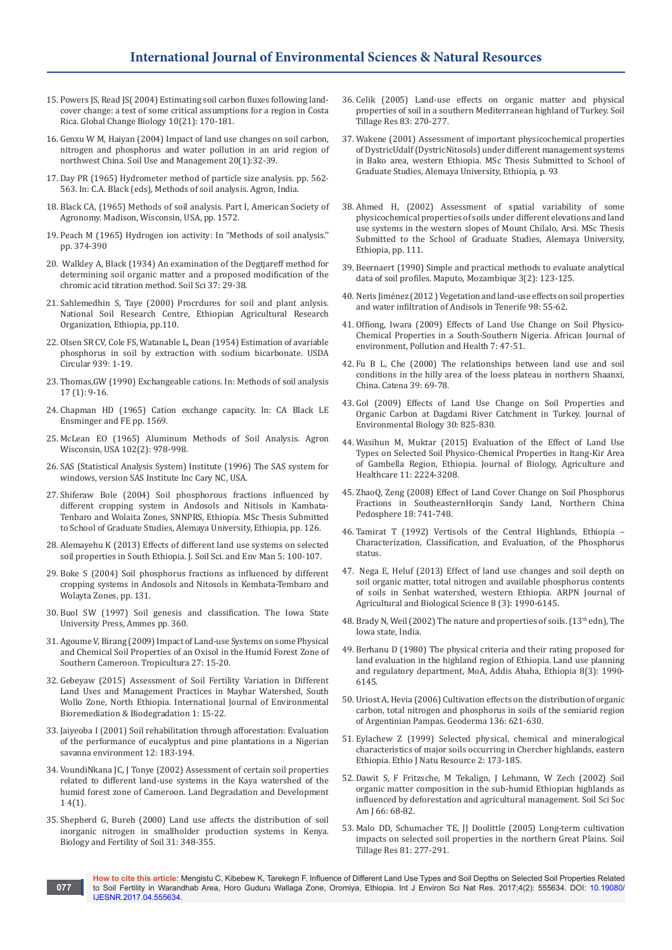- 15. [Powers JS, Read JS\( 2004\) Estimating soil carbon fluxes following land](http://onlinelibrary.wiley.com/doi/10.1111/j.1365-2486.2004.00736.x/abstract)[cover change: a test of some critical assumptions for a region in Costa](http://onlinelibrary.wiley.com/doi/10.1111/j.1365-2486.2004.00736.x/abstract)  [Rica. Global Change Biology 10\(21\): 170-181.](http://onlinelibrary.wiley.com/doi/10.1111/j.1365-2486.2004.00736.x/abstract)
- 16. [Genxu W M, Haiyan \(2004\) Impact of land use changes on soil carbon,](http://onlinelibrary.wiley.com/doi/10.1111/j.1475-2743.2004.tb00334.x/full)  [nitrogen and phosphorus and water pollution in an arid region of](http://onlinelibrary.wiley.com/doi/10.1111/j.1475-2743.2004.tb00334.x/full)  [northwest China. Soil Use and Management 20\(1\):32-39.](http://onlinelibrary.wiley.com/doi/10.1111/j.1475-2743.2004.tb00334.x/full)
- 17. Day PR (1965) Hydrometer method of particle size analysis. pp. 562- 563. In: C.A. Black (eds), Methods of soil analysis. Agron, India.
- 18. Black CA, (1965) Methods of soil analysis. Part I, American Society of Agronomy. Madison, Wisconsin, USA, pp. 1572.
- 19. [Peach M \(1965\) Hydrogen ion activity: In "Methods of soil analysis.''](http://vlab.amrita.edu/?sub=2&brch=193&sim=1549&cnt=1)  [pp. 374-390](http://vlab.amrita.edu/?sub=2&brch=193&sim=1549&cnt=1)
- 20. [Walkley A, Black \(1934\) An examination of the Degtjareff method for](http://journals.lww.com/soilsci/citation/1934/01000/an_examination_of_the_degtjareff_method_for.3.aspx)  [determining soil organic matter and a proposed modification of the](http://journals.lww.com/soilsci/citation/1934/01000/an_examination_of_the_degtjareff_method_for.3.aspx)  [chromic acid titration method. Soil Sci 37: 29-38.](http://journals.lww.com/soilsci/citation/1934/01000/an_examination_of_the_degtjareff_method_for.3.aspx)
- 21. Sahlemedhin S, Taye (2000) Procrdures for soil and plant anlysis. National Soil Research Centre, Ethiopian Agricultural Research Organization, Ethiopia, pp.110.
- 22. [Olsen SR CV, Cole FS, Watanable L, Dean \(1954\) Estimation of avariable](http://library.wur.nl/WebQuery/clc/580010)  [phosphorus in soil by extraction with sodium bicarbonate. USDA](http://library.wur.nl/WebQuery/clc/580010)  [Circular 939: 1-19.](http://library.wur.nl/WebQuery/clc/580010)
- 23. [Thomas,GW \(1990\) Exchangeable cations. In: Methods of soil analysis](https://hal.inria.fr/file/index/docid/885821/filename/hal-00885821.pdf)  [17 \(1\): 9-16.](https://hal.inria.fr/file/index/docid/885821/filename/hal-00885821.pdf)
- 24. [Chapman HD \(1965\) Cation exchange capacity. In: CA Black LE](http://www.scirp.org/(S(351jmbntvnsjt1aadkposzje))/reference/ReferencesPapers.aspx?ReferenceID=1093779)  [Ensminger and FE pp. 1569.](http://www.scirp.org/(S(351jmbntvnsjt1aadkposzje))/reference/ReferencesPapers.aspx?ReferenceID=1093779)
- 25. McLean EO (1965) Aluminum Methods of Soil Analysis. Agron Wisconsin, USA 102(2): 978-998.
- 26. SAS (Statistical Analysis System) Institute (1996) The SAS system for windows, version SAS Institute Inc Cary NC, USA.
- 27. Shiferaw Bole (2004) Soil phosphorous fractions influenced by different cropping system in Andosols and Nitisols in Kambata-Tenbaro and Wolaita Zones, SNNPRS, Ethiopia. MSc Thesis Submitted to School of Graduate Studies, Alemaya University, Ethiopia, pp. 126.
- 28. [Alemayehu K \(2013\) Effects of different land use systems on selected](http://www.academicjournals.org/article/article1381829646_Kiflu%20and%20Beyene.pdf)  [soil properties in South Ethiopia. J. Soil Sci. and Env Man 5: 100-107.](http://www.academicjournals.org/article/article1381829646_Kiflu%20and%20Beyene.pdf)
- 29. Boke S (2004) Soil phosphorus fractions as influenced by different cropping systems in Andosols and Nitosols in Kembata-Tembaro and Wolayta Zones, pp. 131.
- 30. [Buol SW \(1997\) Soil genesis and classification. The Iowa State](https://www.abebooks.com/book-search/isbn/081381460x/)  [University Press, Ammes pp. 360.](https://www.abebooks.com/book-search/isbn/081381460x/)
- 31. [Agoume V, Birang \(2009\) Impact of Land-use Systems on some Physical](https://www.researchgate.net/publication/45266252_I)  [and Chemical Soil Properties of an Oxisol in the Humid Forest Zone of](https://www.researchgate.net/publication/45266252_I)  [Southern Cameroon. Tropicultura 27: 15-20.](https://www.researchgate.net/publication/45266252_I)
- 32. [Gebeyaw \(2015\) Assessment of Soil Fertility Variation in Different](http://pubs.sciepub.com/ijebb/3/1/3/)  [Land Uses and Management Practices in Maybar Watershed, South](http://pubs.sciepub.com/ijebb/3/1/3/)  [Wollo Zone, North Ethiopia. International Journal of Environmental](http://pubs.sciepub.com/ijebb/3/1/3/)  [Bioremediation & Biodegradation 1: 15-22.](http://pubs.sciepub.com/ijebb/3/1/3/)
- 33. [Jaiyeoba I \(2001\) Soil rehabilitation through afforestation: Evaluation](http://onlinelibrary.wiley.com/doi/10.1002/ldr.447/abstract)  [of the performance of eucalyptus and pine plantations in a Nigerian](http://onlinelibrary.wiley.com/doi/10.1002/ldr.447/abstract)  [savanna environment 12: 183-194.](http://onlinelibrary.wiley.com/doi/10.1002/ldr.447/abstract)
- 34. [VoundiNkana JC, J Tonye \(2002\) Assessment of certain soil properties](http://onlinelibrary.wiley.com/doi/10.1002/ldr.519/abstract)  [related to different land-use systems in the Kaya watershed of the](http://onlinelibrary.wiley.com/doi/10.1002/ldr.519/abstract)  [humid forest zone of Cameroon. Land Degradation and Development](http://onlinelibrary.wiley.com/doi/10.1002/ldr.519/abstract)  [1 4\(1\).](http://onlinelibrary.wiley.com/doi/10.1002/ldr.519/abstract)
- 35. [Shepherd G, Bureh \(2000\) Land use affects the distribution of soil](https://link.springer.com/article/10.1007/s003740050667)  [inorganic nitrogen in smallholder production systems in Kenya.](https://link.springer.com/article/10.1007/s003740050667)  [Biology and Fertility of Soil 31: 348-355.](https://link.springer.com/article/10.1007/s003740050667)
- 36. [Celik \(2005\) Land-use effects on organic matter and physical](https://www.researchgate.net/publication/223734551)  [properties of soil in a southern Mediterranean highland of Turkey. Soil](https://www.researchgate.net/publication/223734551)  [Tillage Res 83: 270-277.](https://www.researchgate.net/publication/223734551)
- 37. Wakene (2001) Assessment of important physicochemical properties of DystricUdalf (DystricNitosols) under different management systems in Bako area, western Ethiopia. MSc Thesis Submitted to School of Graduate Studies, Alemaya University, Ethiopia, p. 93
- 38. Ahmed H, (2002) Assessment of spatial variability of some physicochemical properties of soils under different elevations and land use systems in the western slopes of Mount Chilalo, Arsi. MSc Thesis Submitted to the School of Graduate Studies, Alemaya University, Ethiopia, pp. 111.
- 39. [Beernaert \(1990\) Simple and practical methods to evaluate analytical](http://www.aascit.org/journal/archive2?journalId=923&paperId=4217)  [data of soil profiles. Maputo, Mozambique 3\(2\): 123-125](http://www.aascit.org/journal/archive2?journalId=923&paperId=4217).
- 40. Neris Jiménez (2012 ) Vegetation and land-use effects on soil properties and water infiltration of Andisols in Tenerife 98: 55-62.
- 41. [Offiong, Iwara \(2009\) Effects of Land Use Change on Soil Physico-](http://www.scirp.org/journal/PaperInformation.aspx?paperID=53154)[Chemical Properties in a South-Southern Nigeria. African Journal of](http://www.scirp.org/journal/PaperInformation.aspx?paperID=53154)  [environment, Pollution and Health 7: 47-51.](http://www.scirp.org/journal/PaperInformation.aspx?paperID=53154)
- 42. Fu B L, Che (2000) The relationships between land use and soil conditions in the hilly area of the loess plateau in northern Shaanxi, China. Catena 39: 69-78.
- 43. [Gol \(2009\) Effects of Land Use Change on Soil Properties and](http://jeb.co.in/journal_issues/200909_sep09_supp/paper_09.pdf)  [Organic Carbon at Dagdami River Catchment in Turkey. Journal of](http://jeb.co.in/journal_issues/200909_sep09_supp/paper_09.pdf)  [Environmental Biology 30: 825-830.](http://jeb.co.in/journal_issues/200909_sep09_supp/paper_09.pdf)
- 44. [Wasihun M, Muktar \(2015\) Evaluation of the Effect of Land Use](http://www.iiste.org/Journals/index.php/JBAH/article/view/23240)  [Types on Selected Soil Physico-Chemical Properties in Itang-Kir Area](http://www.iiste.org/Journals/index.php/JBAH/article/view/23240)  [of Gambella Region, Ethiopia. Journal of Biology, Agriculture and](http://www.iiste.org/Journals/index.php/JBAH/article/view/23240)  [Healthcare 11: 2224-3208.](http://www.iiste.org/Journals/index.php/JBAH/article/view/23240)
- 45. [ZhaoQ, Zeng \(2008\) Effect of Land Cover Change on Soil Phosphorus](https://www.researchgate.net/publication/251633152_Effect_o)  [Fractions in SoutheasternHorqin Sandy Land, Northern China](https://www.researchgate.net/publication/251633152_Effect_o)  [Pedosphere 18: 741-748.](https://www.researchgate.net/publication/251633152_Effect_o)
- 46. Tamirat T (1992) Vertisols of the Central Highlands, Ethiopia Characterization, Classification, and Evaluation, of the Phosphorus status.
- 47. [Nega E, Heluf \(2013\) Effect of land use changes and soil depth on](http://www.arpnjournals.com/jabs/research_papers/rp_2013/jabs_0313_538.pdf)  [soil organic matter, total nitrogen and available phosphorus contents](http://www.arpnjournals.com/jabs/research_papers/rp_2013/jabs_0313_538.pdf)  [of soils in Senbat watershed, western Ethiopia. ARPN Journal of](http://www.arpnjournals.com/jabs/research_papers/rp_2013/jabs_0313_538.pdf)  [Agricultural and Biological Science 8 \(3\): 1990-6145.](http://www.arpnjournals.com/jabs/research_papers/rp_2013/jabs_0313_538.pdf)
- 48. Brady N, Weil (2002) The nature and properties of soils. (13<sup>th</sup> edn), The Iowa state, India.
- 49. [Berhanu D \(1980\) The physical criteria and their rating proposed for](http://www.fao.org/docrep/field/009/as000e/as000e.pdf)  [land evaluation in the highland region of Ethiopia. Land use planning](http://www.fao.org/docrep/field/009/as000e/as000e.pdf)  [and regulatory department, MoA, Addis Ababa, Ethiopia 8\(3\): 1990-](http://www.fao.org/docrep/field/009/as000e/as000e.pdf) [6145.](http://www.fao.org/docrep/field/009/as000e/as000e.pdf)
- 50. [Uriost A, Hevia \(2006\) Cultivation effects on the distribution of organic](https://www.researchgate.net/publication/248167102_Cultivation_effects_on_the_distributi)  [carbon, total nitrogen and phosphorus in soils of the semiarid region](https://www.researchgate.net/publication/248167102_Cultivation_effects_on_the_distributi)  [of Argentinian Pampas. Geoderma 136: 621-630.](https://www.researchgate.net/publication/248167102_Cultivation_effects_on_the_distributi)
- 51. [Eylachew Z \(1999\) Selected physical, chemical and mineralogical](http://agris.fao.org/agris-search/search.do?recordID=ET2009000031)  [characteristics of major soils occurring in Chercher highlands, eastern](http://agris.fao.org/agris-search/search.do?recordID=ET2009000031)  [Ethiopia. Ethio J Natu Resource 2: 173-185.](http://agris.fao.org/agris-search/search.do?recordID=ET2009000031)
- 52. [Dawit S, F Fritzsche, M Tekalign, J Lehmann, W Zech \(2002\) Soil](https://www.researchgate.net/publication/304606314_Soil_Organic_Matter_Composition_in_the_Subhumid_Ethiopian_Highlands_as_Influenced_by_Deforestation_and_Agricultural_Management)  [organic matter composition in the sub-humid Ethiopian highlands as](https://www.researchgate.net/publication/304606314_Soil_Organic_Matter_Composition_in_the_Subhumid_Ethiopian_Highlands_as_Influenced_by_Deforestation_and_Agricultural_Management)  [influenced by deforestation and agricultural management. Soil Sci Soc](https://www.researchgate.net/publication/304606314_Soil_Organic_Matter_Composition_in_the_Subhumid_Ethiopian_Highlands_as_Influenced_by_Deforestation_and_Agricultural_Management)  [Am J 66: 68-82.](https://www.researchgate.net/publication/304606314_Soil_Organic_Matter_Composition_in_the_Subhumid_Ethiopian_Highlands_as_Influenced_by_Deforestation_and_Agricultural_Management)
- 53. [Malo DD, Schumacher TE, JJ Doolittle \(2005\) Long-term cultivation](http://agris.fao.org/agris-search/search.do?recordID=US201300988418)  [impacts on selected soil properties in the northern Great Plains. Soil](http://agris.fao.org/agris-search/search.do?recordID=US201300988418)  [Tillage Res 81: 277-291.](http://agris.fao.org/agris-search/search.do?recordID=US201300988418)